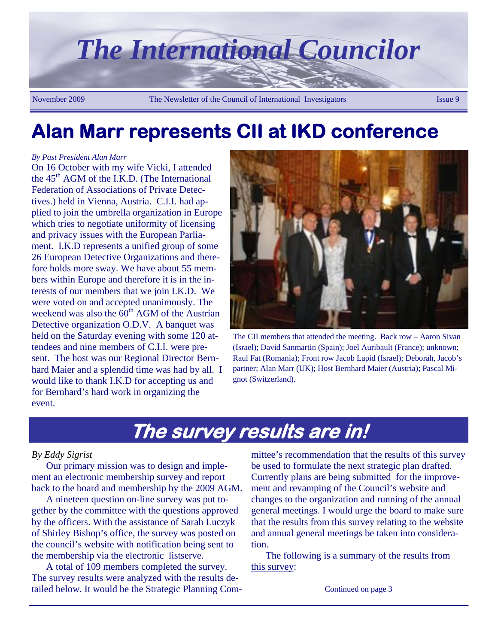

**Alan Marr represents CII at IKD conference**

#### *By Past President Alan Marr*

On 16 October with my wife Vicki, I attended the  $45<sup>th</sup>$  AGM of the I.K.D. (The International Federation of Associations of Private Detectives.) held in Vienna, Austria. C.I.I. had applied to join the umbrella organization in Europe which tries to negotiate uniformity of licensing and privacy issues with the European Parliament. I.K.D represents a unified group of some 26 European Detective Organizations and therefore holds more sway. We have about 55 members within Europe and therefore it is in the interests of our members that we join I.K.D. We were voted on and accepted unanimously. The weekend was also the  $60<sup>th</sup> AGM$  of the Austrian Detective organization O.D.V. A banquet was held on the Saturday evening with some 120 attendees and nine members of C.I.I. were present. The host was our Regional Director Bernhard Maier and a splendid time was had by all. I would like to thank I.K.D for accepting us and for Bernhard's hard work in organizing the event.



The CII members that attended the meeting. Back row – Aaron Sivan (Israel); David Sanmartin (Spain); Joel Auribault (France); unknown; Raul Fat (Romania); Front row Jacob Lapid (Israel); Deborah, Jacob's partner; Alan Marr (UK); Host Bernhard Maier (Austria); Pascal Mignot (Switzerland).

## **The survey results are in!**

#### *By Eddy Sigrist*

Our primary mission was to design and implement an electronic membership survey and report back to the board and membership by the 2009 AGM.

A nineteen question on-line survey was put together by the committee with the questions approved by the officers. With the assistance of Sarah Luczyk of Shirley Bishop's office, the survey was posted on the council's website with notification being sent to the membership via the electronic listserve.

A total of 109 members completed the survey. The survey results were analyzed with the results detailed below. It would be the Strategic Planning Committee's recommendation that the results of this survey be used to formulate the next strategic plan drafted. Currently plans are being submitted for the improvement and revamping of the Council's website and changes to the organization and running of the annual general meetings. I would urge the board to make sure that the results from this survey relating to the website and annual general meetings be taken into consideration.

The following is a summary of the results from this survey:

Continued on page 3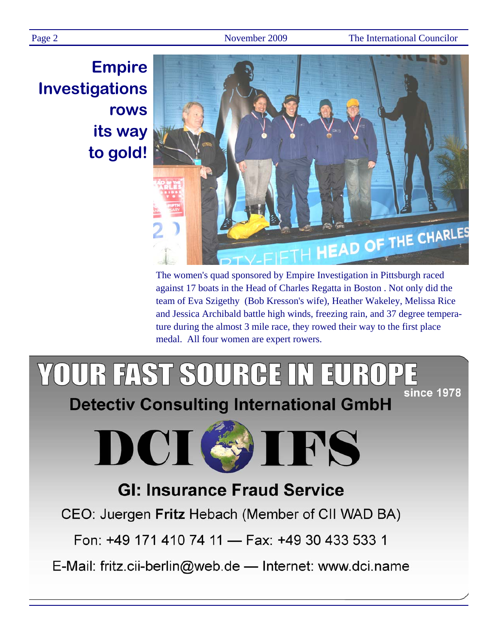**Empire Investigations rows its way to gold!** 



The women's quad sponsored by Empire Investigation in Pittsburgh raced against 17 boats in the Head of Charles Regatta in Boston . Not only did the team of Eva Szigethy (Bob Kresson's wife), Heather Wakeley, Melissa Rice and Jessica Archibald battle high winds, freezing rain, and 37 degree temperature during the almost 3 mile race, they rowed their way to the first place medal. All four women are expert rowers.

## OUR FAST SOURGE IN EUROP **since 1978**

**Detectiv Consulting International GmbH** 



### **GI: Insurance Fraud Service**

CEO: Juergen Fritz Hebach (Member of CII WAD BA)

Fon: +49 171 410 74 11 - Fax: +49 30 433 533 1

E-Mail: fritz.cii-berlin@web.de - Internet: www.dci.name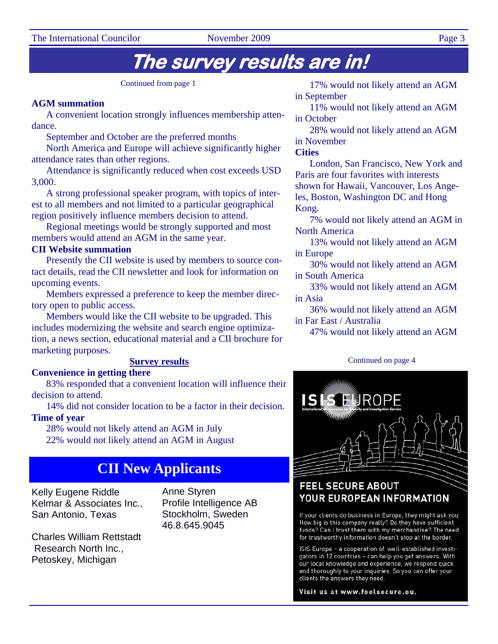# **The survey results are in!**

Continued from page 1

#### **AGM summation**

A convenient location strongly influences membership attendance.

September and October are the preferred months

North America and Europe will achieve significantly higher attendance rates than other regions.

Attendance is significantly reduced when cost exceeds USD 3,000.

A strong professional speaker program, with topics of interest to all members and not limited to a particular geographical region positively influence members decision to attend.

Regional meetings would be strongly supported and most members would attend an AGM in the same year.

### **CII Website summation**

Presently the CII website is used by members to source contact details, read the CII newsletter and look for information on upcoming events.

Members expressed a preference to keep the member directory open to public access.

Members would like the CII website to be upgraded. This includes modernizing the website and search engine optimization, a news section, educational material and a CII brochure for marketing purposes.

### **Survey results**

### **Convenience in getting there**

83% responded that a convenient location will influence their decision to attend.

14% did not consider location to be a factor in their decision. **Time of year** 

28% would not likely attend an AGM in July 22% would not likely attend an AGM in August

### **CII New Applicants**

Kelly Eugene Riddle Kelmar & Associates Inc., San Antonio, Texas

Charles William Rettstadt Research North Inc., Petoskey, Michigan

Anne Styren Profile Intelligence AB Stockholm, Sweden 46.8.645.9045

17% would not likely attend an AGM in September

11% would not likely attend an AGM in October

28% would not likely attend an AGM in November

#### **Cities**

London, San Francisco, New York and Paris are four favorites with interests shown for Hawaii, Vancouver, Los Angeles, Boston, Washington DC and Hong Kong.

7% would not likely attend an AGM in North America

13% would not likely attend an AGM in Europe

30% would not likely attend an AGM in South America

33% would not likely attend an AGM in Asia

36% would not likely attend an AGM in Far East / Australia

47% would not likely attend an AGM

#### Continued on page 4



### **FEEL SECURE ABOUT** YOUR EUROPEAN INFORMATION

If your clients do business in Europe, they might ask you: How big is this company really? Do they have sufficient funds? Can I trust them with my merchandise? The need for trustworthy information doesn't stop at the border.

ISIS Europe - a cooperation of well-established investigators in 12 countries - can help you get answers. With our local knowledge and experience, we respond quick and thoroughly to your inquiries. So you can offer your clients the answers they need.

Visit us at www.feelsecure.eu.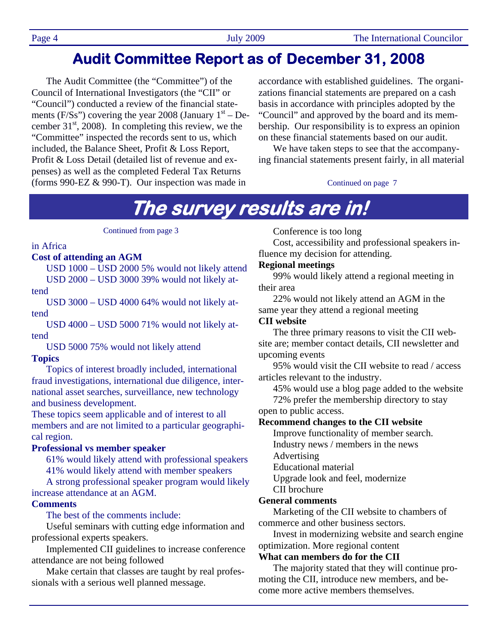### **Audit Committee Report as of December 31, 2008**

The Audit Committee (the "Committee") of the Council of International Investigators (the "CII" or "Council") conducted a review of the financial statements (F/Ss") covering the year 2008 (January  $1<sup>st</sup> - De$ cember  $31<sup>st</sup>$ , 2008). In completing this review, we the "Committee" inspected the records sent to us, which included, the Balance Sheet, Profit & Loss Report, Profit & Loss Detail (detailed list of revenue and expenses) as well as the completed Federal Tax Returns (forms 990-EZ & 990-T). Our inspection was made in

accordance with established guidelines. The organizations financial statements are prepared on a cash basis in accordance with principles adopted by the "Council" and approved by the board and its membership. Our responsibility is to express an opinion on these financial statements based on our audit.

We have taken steps to see that the accompanying financial statements present fairly, in all material

#### Continued on page 7

**The survey results are in!** 

Continued from page 3

#### in Africa

#### **Cost of attending an AGM**

USD 1000 – USD 2000 5% would not likely attend

USD 2000 – USD 3000 39% would not likely attend

USD 3000 – USD 4000 64% would not likely attend

USD 4000 – USD 5000 71% would not likely attend

USD 5000 75% would not likely attend

#### **Topics**

Topics of interest broadly included, international fraud investigations, international due diligence, international asset searches, surveillance, new technology and business development.

These topics seem applicable and of interest to all members and are not limited to a particular geographical region.

#### **Professional vs member speaker**

61% would likely attend with professional speakers 41% would likely attend with member speakers

A strong professional speaker program would likely increase attendance at an AGM.

#### **Comments**

The best of the comments include:

Useful seminars with cutting edge information and professional experts speakers.

Implemented CII guidelines to increase conference attendance are not being followed

Make certain that classes are taught by real professionals with a serious well planned message.

Conference is too long

Cost, accessibility and professional speakers influence my decision for attending.

#### **Regional meetings**

99% would likely attend a regional meeting in their area

22% would not likely attend an AGM in the same year they attend a regional meeting

#### **CII website**

The three primary reasons to visit the CII website are; member contact details, CII newsletter and upcoming events

95% would visit the CII website to read / access articles relevant to the industry.

45% would use a blog page added to the website 72% prefer the membership directory to stay

open to public access.

### **Recommend changes to the CII website**

Improve functionality of member search.

Industry news / members in the news

Advertising

Educational material

Upgrade look and feel, modernize

CII brochure

### **General comments**

Marketing of the CII website to chambers of commerce and other business sectors.

Invest in modernizing website and search engine optimization. More regional content

### **What can members do for the CII**

The majority stated that they will continue promoting the CII, introduce new members, and become more active members themselves.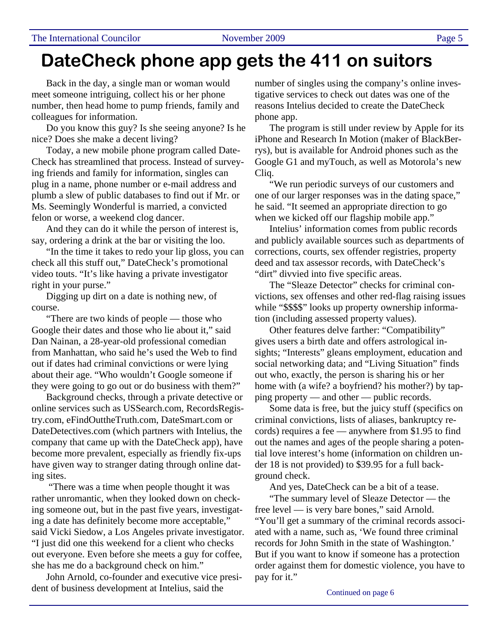# **DateCheck phone app gets the 411 on suitors**

Back in the day, a single man or woman would meet someone intriguing, collect his or her phone number, then head home to pump friends, family and colleagues for information.

Do you know this guy? Is she seeing anyone? Is he nice? Does she make a decent living?

Today, a new mobile phone program called Date-Check has streamlined that process. Instead of surveying friends and family for information, singles can plug in a name, phone number or e-mail address and plumb a slew of public databases to find out if Mr. or Ms. Seemingly Wonderful is married, a convicted felon or worse, a weekend clog dancer.

And they can do it while the person of interest is, say, ordering a drink at the bar or visiting the loo.

"In the time it takes to redo your lip gloss, you can check all this stuff out," DateCheck's promotional video touts. "It's like having a private investigator right in your purse."

Digging up dirt on a date is nothing new, of course.

"There are two kinds of people — those who Google their dates and those who lie about it," said Dan Nainan, a 28-year-old professional comedian from Manhattan, who said he's used the Web to find out if dates had criminal convictions or were lying about their age. "Who wouldn't Google someone if they were going to go out or do business with them?"

Background checks, through a private detective or online services such as USSearch.com, RecordsRegistry.com, eFindOuttheTruth.com, DateSmart.com or DateDetectives.com (which partners with Intelius, the company that came up with the DateCheck app), have become more prevalent, especially as friendly fix-ups have given way to stranger dating through online dating sites.

 "There was a time when people thought it was rather unromantic, when they looked down on checking someone out, but in the past five years, investigating a date has definitely become more acceptable," said Vicki Siedow, a Los Angeles private investigator. "I just did one this weekend for a client who checks out everyone. Even before she meets a guy for coffee, she has me do a background check on him."

John Arnold, co-founder and executive vice president of business development at Intelius, said the

number of singles using the company's online investigative services to check out dates was one of the reasons Intelius decided to create the DateCheck phone app.

The program is still under review by Apple for its iPhone and Research In Motion (maker of BlackBerrys), but is available for Android phones such as the Google G1 and myTouch, as well as Motorola's new Cliq.

"We run periodic surveys of our customers and one of our larger responses was in the dating space," he said. "It seemed an appropriate direction to go when we kicked off our flagship mobile app."

Intelius' information comes from public records and publicly available sources such as departments of corrections, courts, sex offender registries, property deed and tax assessor records, with DateCheck's "dirt" divvied into five specific areas.

The "Sleaze Detector" checks for criminal convictions, sex offenses and other red-flag raising issues while "\$\$\$\$" looks up property ownership information (including assessed property values).

Other features delve farther: "Compatibility" gives users a birth date and offers astrological insights; "Interests" gleans employment, education and social networking data; and "Living Situation" finds out who, exactly, the person is sharing his or her home with (a wife? a boyfriend? his mother?) by tapping property — and other — public records.

Some data is free, but the juicy stuff (specifics on criminal convictions, lists of aliases, bankruptcy records) requires a fee — anywhere from \$1.95 to find out the names and ages of the people sharing a potential love interest's home (information on children under 18 is not provided) to \$39.95 for a full background check.

And yes, DateCheck can be a bit of a tease.

"The summary level of Sleaze Detector — the free level — is very bare bones," said Arnold. "You'll get a summary of the criminal records associated with a name, such as, 'We found three criminal records for John Smith in the state of Washington.' But if you want to know if someone has a protection order against them for domestic violence, you have to pay for it."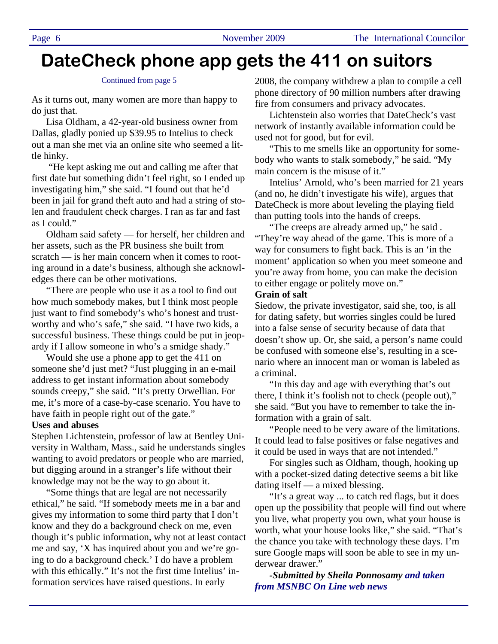# **DateCheck phone app gets the 411 on suitors**

#### Continued from page 5

As it turns out, many women are more than happy to do just that.

Lisa Oldham, a 42-year-old business owner from Dallas, gladly ponied up \$39.95 to Intelius to check out a man she met via an online site who seemed a little hinky.

 "He kept asking me out and calling me after that first date but something didn't feel right, so I ended up investigating him," she said. "I found out that he'd been in jail for grand theft auto and had a string of stolen and fraudulent check charges. I ran as far and fast as I could."

Oldham said safety — for herself, her children and her assets, such as the PR business she built from scratch — is her main concern when it comes to rooting around in a date's business, although she acknowledges there can be other motivations.

"There are people who use it as a tool to find out how much somebody makes, but I think most people just want to find somebody's who's honest and trustworthy and who's safe," she said. "I have two kids, a successful business. These things could be put in jeopardy if I allow someone in who's a smidge shady."

Would she use a phone app to get the 411 on someone she'd just met? "Just plugging in an e-mail address to get instant information about somebody sounds creepy," she said. "It's pretty Orwellian. For me, it's more of a case-by-case scenario. You have to have faith in people right out of the gate."

#### **Uses and abuses**

Stephen Lichtenstein, professor of law at Bentley University in Waltham, Mass., said he understands singles wanting to avoid predators or people who are married, but digging around in a stranger's life without their knowledge may not be the way to go about it.

"Some things that are legal are not necessarily ethical," he said. "If somebody meets me in a bar and gives my information to some third party that I don't know and they do a background check on me, even though it's public information, why not at least contact me and say, 'X has inquired about you and we're going to do a background check.' I do have a problem with this ethically." It's not the first time Intelius' information services have raised questions. In early

2008, the company withdrew a plan to compile a cell phone directory of 90 million numbers after drawing fire from consumers and privacy advocates.

Lichtenstein also worries that DateCheck's vast network of instantly available information could be used not for good, but for evil.

"This to me smells like an opportunity for somebody who wants to stalk somebody," he said. "My main concern is the misuse of it."

Intelius' Arnold, who's been married for 21 years (and no, he didn't investigate his wife), argues that DateCheck is more about leveling the playing field than putting tools into the hands of creeps.

"The creeps are already armed up," he said . "They're way ahead of the game. This is more of a way for consumers to fight back. This is an 'in the moment' application so when you meet someone and you're away from home, you can make the decision to either engage or politely move on."

#### **Grain of salt**

Siedow, the private investigator, said she, too, is all for dating safety, but worries singles could be lured into a false sense of security because of data that doesn't show up. Or, she said, a person's name could be confused with someone else's, resulting in a scenario where an innocent man or woman is labeled as a criminal.

"In this day and age with everything that's out there, I think it's foolish not to check (people out)," she said. "But you have to remember to take the information with a grain of salt.

"People need to be very aware of the limitations. It could lead to false positives or false negatives and it could be used in ways that are not intended."

For singles such as Oldham, though, hooking up with a pocket-sized dating detective seems a bit like dating itself — a mixed blessing.

"It's a great way ... to catch red flags, but it does open up the possibility that people will find out where you live, what property you own, what your house is worth, what your house looks like," she said. "That's the chance you take with technology these days. I'm sure Google maps will soon be able to see in my underwear drawer."

*-Submitted by Sheila Ponnosamy and taken from MSNBC On Line web news*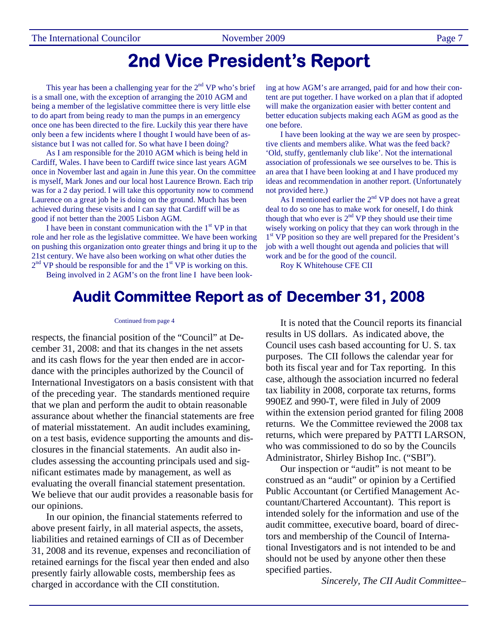# **2nd Vice President's Report**

This year has been a challenging year for the  $2<sup>nd</sup> VP$  who's brief is a small one, with the exception of arranging the 2010 AGM and being a member of the legislative committee there is very little else to do apart from being ready to man the pumps in an emergency once one has been directed to the fire. Luckily this year there have only been a few incidents where I thought I would have been of assistance but I was not called for. So what have I been doing?

As I am responsible for the 2010 AGM which is being held in Cardiff, Wales. I have been to Cardiff twice since last years AGM once in November last and again in June this year. On the committee is myself, Mark Jones and our local host Laurence Brown. Each trip was for a 2 day period. I will take this opportunity now to commend Laurence on a great job he is doing on the ground. Much has been achieved during these visits and I can say that Cardiff will be as good if not better than the 2005 Lisbon AGM.

I have been in constant communication with the  $1<sup>st</sup> VP$  in that role and her role as the legislative committee. We have been working on pushing this organization onto greater things and bring it up to the 21st century. We have also been working on what other duties the  $2<sup>nd</sup> VP$  should be responsible for and the  $1<sup>st</sup> VP$  is working on this.

Being involved in 2 AGM's on the front line I have been look-

ing at how AGM's are arranged, paid for and how their content are put together. I have worked on a plan that if adopted will make the organization easier with better content and better education subjects making each AGM as good as the one before.

I have been looking at the way we are seen by prospective clients and members alike. What was the feed back? 'Old, stuffy, gentlemanly club like'. Not the international association of professionals we see ourselves to be. This is an area that I have been looking at and I have produced my ideas and recommendation in another report. (Unfortunately not provided here.)

As I mentioned earlier the  $2<sup>nd</sup> VP$  does not have a great deal to do so one has to make work for oneself, I do think though that who ever is  $2<sup>nd</sup> VP$  they should use their time wisely working on policy that they can work through in the 1<sup>st</sup> VP position so they are well prepared for the President's job with a well thought out agenda and policies that will work and be for the good of the council.

Roy K Whitehouse CFE CII

### **Audit Committee Report as of December 31, 2008**

#### Continued from page 4

respects, the financial position of the "Council" at December 31, 2008: and that its changes in the net assets and its cash flows for the year then ended are in accordance with the principles authorized by the Council of International Investigators on a basis consistent with that of the preceding year. The standards mentioned require that we plan and perform the audit to obtain reasonable assurance about whether the financial statements are free of material misstatement. An audit includes examining, on a test basis, evidence supporting the amounts and disclosures in the financial statements. An audit also includes assessing the accounting principals used and significant estimates made by management, as well as evaluating the overall financial statement presentation. We believe that our audit provides a reasonable basis for our opinions.

In our opinion, the financial statements referred to above present fairly, in all material aspects, the assets, liabilities and retained earnings of CII as of December 31, 2008 and its revenue, expenses and reconciliation of retained earnings for the fiscal year then ended and also presently fairly allowable costs, membership fees as charged in accordance with the CII constitution.

It is noted that the Council reports its financial results in US dollars. As indicated above, the Council uses cash based accounting for U. S. tax purposes. The CII follows the calendar year for both its fiscal year and for Tax reporting. In this case, although the association incurred no federal tax liability in 2008, corporate tax returns, forms 990EZ and 990-T, were filed in July of 2009 within the extension period granted for filing 2008 returns. We the Committee reviewed the 2008 tax returns, which were prepared by PATTI LARSON, who was commissioned to do so by the Councils Administrator, Shirley Bishop Inc. ("SBI").

Our inspection or "audit" is not meant to be construed as an "audit" or opinion by a Certified Public Accountant (or Certified Management Accountant/Chartered Accountant). This report is intended solely for the information and use of the audit committee, executive board, board of directors and membership of the Council of International Investigators and is not intended to be and should not be used by anyone other then these specified parties.

*Sincerely, The CII Audit Committee–*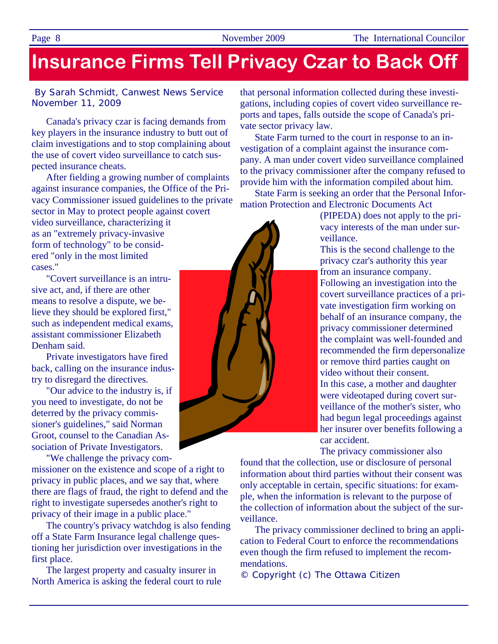Page 8 **November 2009** The International Councilor

# **Insurance Firms Tell Privacy Czar to Back Off**

#### By Sarah Schmidt, Canwest News Service *November 11, 2009*

Canada's privacy czar is facing demands from key players in the insurance industry to butt out of claim investigations and to stop complaining about the use of covert video surveillance to catch suspected insurance cheats.

After fielding a growing number of complaints against insurance companies, the Office of the Privacy Commissioner issued guidelines to the private sector in May to protect people against covert

video surveillance, characterizing it as an "extremely privacy-invasive form of technology" to be considered "only in the most limited cases."

"Covert surveillance is an intrusive act, and, if there are other means to resolve a dispute, we believe they should be explored first," such as independent medical exams, assistant commissioner Elizabeth Denham said.

Private investigators have fired back, calling on the insurance industry to disregard the directives.

"Our advice to the industry is, if you need to investigate, do not be deterred by the privacy commissioner's guidelines," said Norman Groot, counsel to the Canadian Association of Private Investigators.

"We challenge the privacy com-

missioner on the existence and scope of a right to privacy in public places, and we say that, where there are flags of fraud, the right to defend and the right to investigate supersedes another's right to privacy of their image in a public place."

The country's privacy watchdog is also fending off a State Farm Insurance legal challenge questioning her jurisdiction over investigations in the first place.

The largest property and casualty insurer in North America is asking the federal court to rule

that personal information collected during these investigations, including copies of covert video surveillance reports and tapes, falls outside the scope of Canada's private sector privacy law.

State Farm turned to the court in response to an investigation of a complaint against the insurance company. A man under covert video surveillance complained to the privacy commissioner after the company refused to provide him with the information compiled about him.

State Farm is seeking an order that the Personal Information Protection and Electronic Documents Act

> (PIPEDA) does not apply to the privacy interests of the man under surveillance.

This is the second challenge to the privacy czar's authority this year from an insurance company. Following an investigation into the covert surveillance practices of a private investigation firm working on behalf of an insurance company, the privacy commissioner determined the complaint was well-founded and recommended the firm depersonalize or remove third parties caught on video without their consent. In this case, a mother and daughter were videotaped during covert surveillance of the mother's sister, who had begun legal proceedings against her insurer over benefits following a car accident.

The privacy commissioner also

found that the collection, use or disclosure of personal information about third parties without their consent was only acceptable in certain, specific situations: for example, when the information is relevant to the purpose of the collection of information about the subject of the surveillance.

The privacy commissioner declined to bring an application to Federal Court to enforce the recommendations even though the firm refused to implement the recommendations.

*© Copyright (c) The Ottawa Citizen*